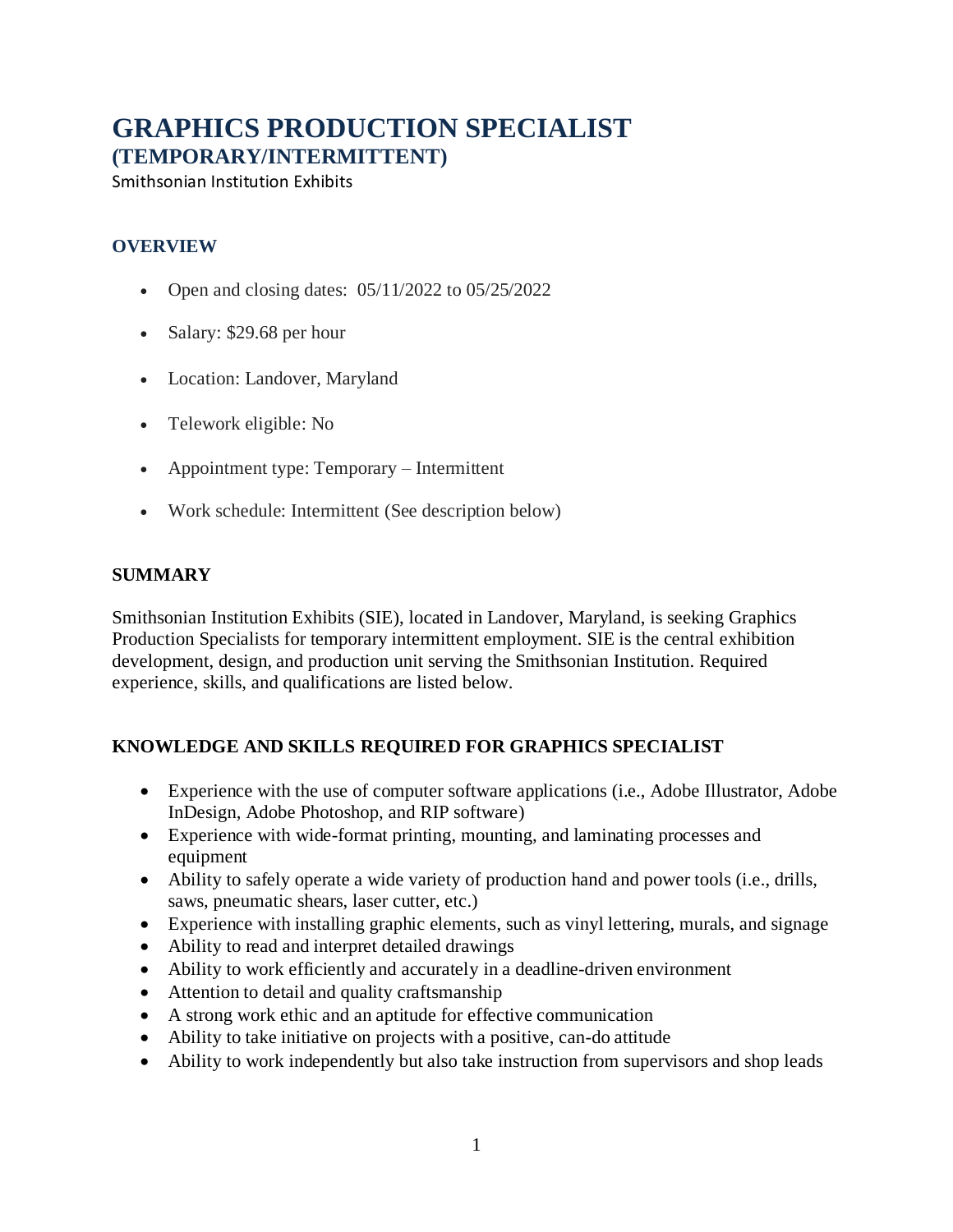# **GRAPHICS PRODUCTION SPECIALIST (TEMPORARY/INTERMITTENT)**

Smithsonian Institution Exhibits

### **OVERVIEW**

- Open and closing dates:  $05/11/2022$  to  $05/25/2022$
- Salary: \$29.68 per hour
- Location: Landover, Maryland
- Telework eligible: No
- Appointment type: Temporary Intermittent
- Work schedule: Intermittent (See description below)

#### **SUMMARY**

Smithsonian Institution Exhibits (SIE), located in Landover, Maryland, is seeking Graphics Production Specialists for temporary intermittent employment. SIE is the central exhibition development, design, and production unit serving the Smithsonian Institution. Required experience, skills, and qualifications are listed below.

## **KNOWLEDGE AND SKILLS REQUIRED FOR GRAPHICS SPECIALIST**

- Experience with the use of computer software applications (i.e., Adobe Illustrator, Adobe InDesign, Adobe Photoshop, and RIP software)
- Experience with wide-format printing, mounting, and laminating processes and equipment
- Ability to safely operate a wide variety of production hand and power tools (i.e., drills, saws, pneumatic shears, laser cutter, etc.)
- Experience with installing graphic elements, such as vinyl lettering, murals, and signage
- Ability to read and interpret detailed drawings
- Ability to work efficiently and accurately in a deadline-driven environment
- Attention to detail and quality craftsmanship
- A strong work ethic and an aptitude for effective communication
- Ability to take initiative on projects with a positive, can-do attitude
- Ability to work independently but also take instruction from supervisors and shop leads